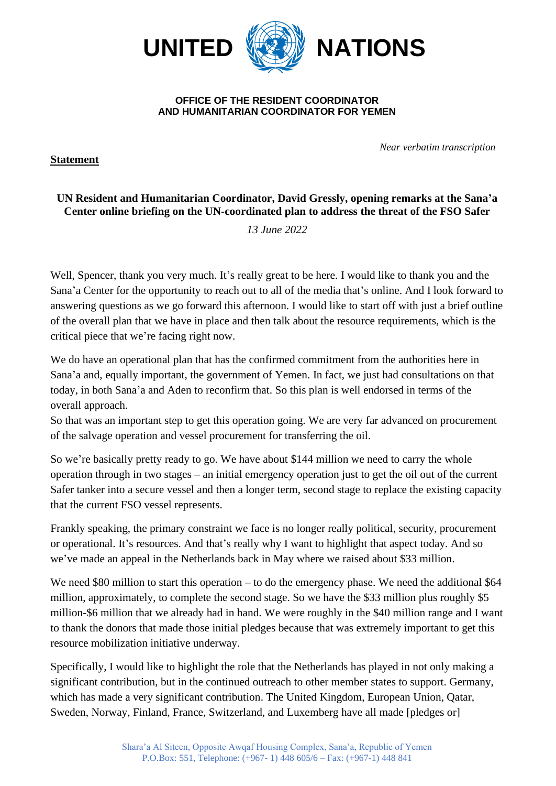

## **OFFICE OF THE RESIDENT COORDINATOR AND HUMANITARIAN COORDINATOR FOR YEMEN**

*Near verbatim transcription*

## **UN Resident and Humanitarian Coordinator, David Gressly, opening remarks at the Sana'a Center online briefing on the UN-coordinated plan to address the threat of the FSO Safer**

*13 June 2022*

Well, Spencer, thank you very much. It's really great to be here. I would like to thank you and the Sana'a Center for the opportunity to reach out to all of the media that's online. And I look forward to answering questions as we go forward this afternoon. I would like to start off with just a brief outline of the overall plan that we have in place and then talk about the resource requirements, which is the critical piece that we're facing right now.

We do have an operational plan that has the confirmed commitment from the authorities here in Sana'a and, equally important, the government of Yemen. In fact, we just had consultations on that today, in both Sana'a and Aden to reconfirm that. So this plan is well endorsed in terms of the overall approach.

So that was an important step to get this operation going. We are very far advanced on procurement of the salvage operation and vessel procurement for transferring the oil.

So we're basically pretty ready to go. We have about \$144 million we need to carry the whole operation through in two stages – an initial emergency operation just to get the oil out of the current Safer tanker into a secure vessel and then a longer term, second stage to replace the existing capacity that the current FSO vessel represents.

Frankly speaking, the primary constraint we face is no longer really political, security, procurement or operational. It's resources. And that's really why I want to highlight that aspect today. And so we've made an appeal in the Netherlands back in May where we raised about \$33 million.

We need \$80 million to start this operation – to do the emergency phase. We need the additional \$64 million, approximately, to complete the second stage. So we have the \$33 million plus roughly \$5 million-\$6 million that we already had in hand. We were roughly in the \$40 million range and I want to thank the donors that made those initial pledges because that was extremely important to get this resource mobilization initiative underway.

Specifically, I would like to highlight the role that the Netherlands has played in not only making a significant contribution, but in the continued outreach to other member states to support. Germany, which has made a very significant contribution. The United Kingdom, European Union, Qatar, Sweden, Norway, Finland, France, Switzerland, and Luxemberg have all made [pledges or]

**Statement**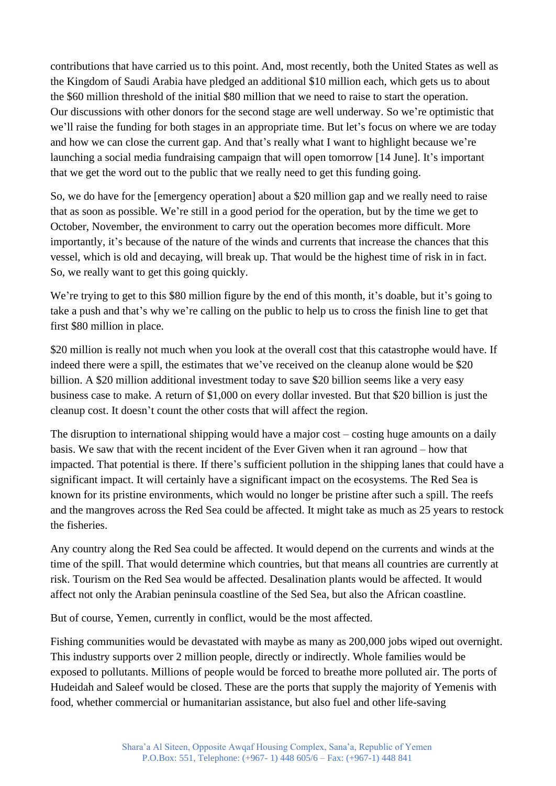contributions that have carried us to this point. And, most recently, both the United States as well as the Kingdom of Saudi Arabia have pledged an additional \$10 million each, which gets us to about the \$60 million threshold of the initial \$80 million that we need to raise to start the operation. Our discussions with other donors for the second stage are well underway. So we're optimistic that we'll raise the funding for both stages in an appropriate time. But let's focus on where we are today and how we can close the current gap. And that's really what I want to highlight because we're launching a social media fundraising campaign that will open tomorrow [14 June]. It's important that we get the word out to the public that we really need to get this funding going.

So, we do have for the [emergency operation] about a \$20 million gap and we really need to raise that as soon as possible. We're still in a good period for the operation, but by the time we get to October, November, the environment to carry out the operation becomes more difficult. More importantly, it's because of the nature of the winds and currents that increase the chances that this vessel, which is old and decaying, will break up. That would be the highest time of risk in in fact. So, we really want to get this going quickly.

We're trying to get to this \$80 million figure by the end of this month, it's doable, but it's going to take a push and that's why we're calling on the public to help us to cross the finish line to get that first \$80 million in place.

\$20 million is really not much when you look at the overall cost that this catastrophe would have. If indeed there were a spill, the estimates that we've received on the cleanup alone would be \$20 billion. A \$20 million additional investment today to save \$20 billion seems like a very easy business case to make. A return of \$1,000 on every dollar invested. But that \$20 billion is just the cleanup cost. It doesn't count the other costs that will affect the region.

The disruption to international shipping would have a major cost – costing huge amounts on a daily basis. We saw that with the recent incident of the Ever Given when it ran aground – how that impacted. That potential is there. If there's sufficient pollution in the shipping lanes that could have a significant impact. It will certainly have a significant impact on the ecosystems. The Red Sea is known for its pristine environments, which would no longer be pristine after such a spill. The reefs and the mangroves across the Red Sea could be affected. It might take as much as 25 years to restock the fisheries.

Any country along the Red Sea could be affected. It would depend on the currents and winds at the time of the spill. That would determine which countries, but that means all countries are currently at risk. Tourism on the Red Sea would be affected. Desalination plants would be affected. It would affect not only the Arabian peninsula coastline of the Sed Sea, but also the African coastline.

But of course, Yemen, currently in conflict, would be the most affected.

Fishing communities would be devastated with maybe as many as 200,000 jobs wiped out overnight. This industry supports over 2 million people, directly or indirectly. Whole families would be exposed to pollutants. Millions of people would be forced to breathe more polluted air. The ports of Hudeidah and Saleef would be closed. These are the ports that supply the majority of Yemenis with food, whether commercial or humanitarian assistance, but also fuel and other life-saving